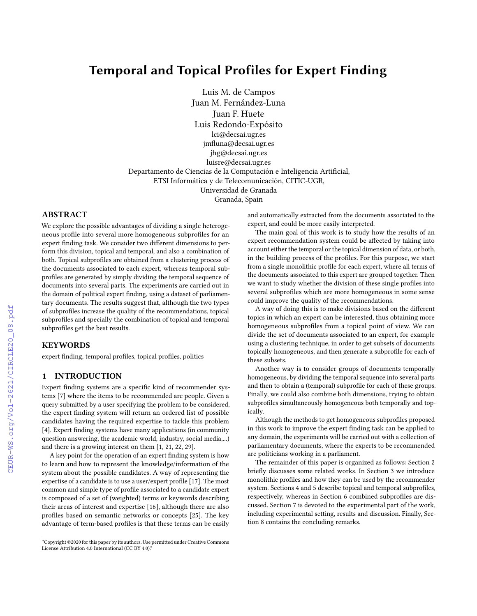# Temporal and Topical Profiles for Expert Finding

Luis M. de Campos Juan M. Fernández-Luna Juan F. Huete Luis Redondo-Expósito lci@decsai.ugr.es jmfluna@decsai.ugr.es jhg@decsai.ugr.es luisre@decsai.ugr.es Departamento de Ciencias de la Computación e Inteligencia Artificial, ETSI Informática y de Telecomunicación, CITIC-UGR, Universidad de Granada Granada, Spain

## ABSTRACT

We explore the possible advantages of dividing a single heterogeneous profile into several more homogeneous subprofiles for an expert finding task. We consider two different dimensions to perform this division, topical and temporal, and also a combination of both. Topical subprofiles are obtained from a clustering process of the documents associated to each expert, whereas temporal subprofiles are generated by simply dividing the temporal sequence of documents into several parts. The experiments are carried out in the domain of political expert finding, using a dataset of parliamentary documents. The results suggest that, although the two types of subprofiles increase the quality of the recommendations, topical subprofiles and specially the combination of topical and temporal subprofiles get the best results.

## **KEYWORDS**

expert finding, temporal profiles, topical profiles, politics

# 1 INTRODUCTION

Expert finding systems are a specific kind of recommender systems [\[7\]](#page--1-0) where the items to be recommended are people. Given a query submitted by a user specifying the problem to be considered, the expert finding system will return an ordered list of possible candidates having the required expertise to tackle this problem [\[4\]](#page--1-1). Expert finding systems have many applications (in community question answering, the academic world, industry, social media,...) and there is a growing interest on them [\[1,](#page--1-2) [21,](#page--1-3) [22,](#page--1-4) [29\]](#page--1-5).

A key point for the operation of an expert finding system is how to learn and how to represent the knowledge/information of the system about the possible candidates. A way of representing the expertise of a candidate is to use a user/expert profile [\[17\]](#page--1-6). The most common and simple type of profile associated to a candidate expert is composed of a set of (weighted) terms or keywords describing their areas of interest and expertise [\[16\]](#page--1-7), although there are also profiles based on semantic networks or concepts [\[25\]](#page--1-8). The key advantage of term-based profiles is that these terms can be easily

and automatically extracted from the documents associated to the expert, and could be more easily interpreted.

The main goal of this work is to study how the results of an expert recommendation system could be affected by taking into account either the temporal or the topical dimension of data, or both, in the building process of the profiles. For this purpose, we start from a single monolithic profile for each expert, where all terms of the documents associated to this expert are grouped together. Then we want to study whether the division of these single profiles into several subprofiles which are more homogeneous in some sense could improve the quality of the recommendations.

A way of doing this is to make divisions based on the different topics in which an expert can be interested, thus obtaining more homogeneous subprofiles from a topical point of view. We can divide the set of documents associated to an expert, for example using a clustering technique, in order to get subsets of documents topically homogeneous, and then generate a subprofile for each of these subsets.

Another way is to consider groups of documents temporally homogeneous, by dividing the temporal sequence into several parts and then to obtain a (temporal) subprofile for each of these groups. Finally, we could also combine both dimensions, trying to obtain subprofiles simultaneously homogeneous both temporally and topically.

Although the methods to get homogeneous subprofiles proposed in this work to improve the expert finding task can be applied to any domain, the experiments will be carried out with a collection of parliamentary documents, where the experts to be recommended are politicians working in a parliament.

The remainder of this paper is organized as follows: Section [2](#page--1-9) briefly discusses some related works. In Section [3](#page--1-10) we introduce monolithic profiles and how they can be used by the recommender system. Sections [4](#page--1-11) and [5](#page--1-12) describe topical and temporal subprofiles, respectively, whereas in Section [6](#page--1-13) combined subprofiles are discussed. Section [7](#page--1-14) is devoted to the experimental part of the work, including experimental setting, results and discussion. Finally, Section [8](#page--1-15) contains the concluding remarks.

<sup>&</sup>quot;Copyright ©2020 for this paper by its authors. Use permitted under Creative Commons License Attribution 4.0 International (CC BY 4.0)."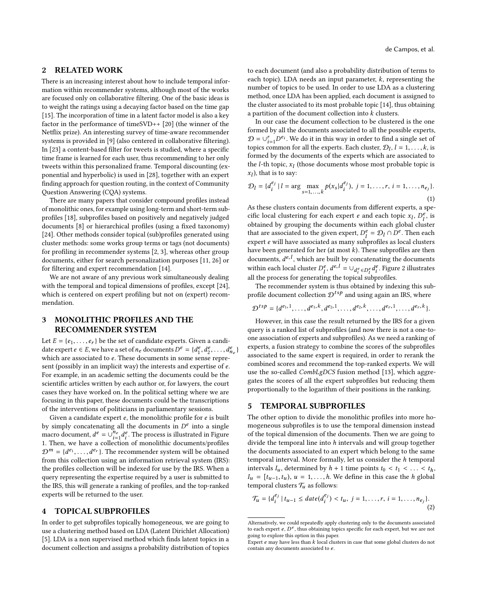#### 2 RELATED WORK

There is an increasing interest about how to include temporal information within recommender systems, although most of the works are focused only on collaborative filtering. One of the basic ideas is to weight the ratings using a decaying factor based on the time gap [\[15\]](#page-5-0). The incorporation of time in a latent factor model is also a key factor in the performance of timeSVD++ [\[20\]](#page-5-1) (the winner of the Netflix prize). An interesting survey of time-aware recommender systems is provided in [\[9\]](#page-5-2) (also centered in collaborative filtering). In [\[23\]](#page-5-3) a content-based filter for tweets is studied, where a specific time frame is learned for each user, thus recommending to her only tweets within this personalized frame. Temporal discounting (exponential and hyperbolic) is used in [\[28\]](#page-5-4), together with an expert finding approach for question routing, in the context of Community Question Answering (CQA) systems.

There are many papers that consider compound profiles instead of monolithic ones, for example using long-term and short-term subprofiles [\[18\]](#page-5-5), subprofiles based on positively and negatively judged documents [\[8\]](#page-5-6) or hierarchical profiles (using a fixed taxonomy) [\[24\]](#page-5-7). Other methods consider topical (sub)profiles generated using cluster methods: some works group terms or tags (not documents) for profiling in recommender systems [\[2,](#page-5-8) [3\]](#page-5-9), whereas other group documents, either for search personalization purposes [\[11,](#page-5-10) [26\]](#page-5-11) or for filtering and expert recommendation [\[14\]](#page-5-12).

We are not aware of any previous work simultaneously dealing with the temporal and topical dimensions of profiles, except [\[24\]](#page-5-7), which is centered on expert profiling but not on (expert) recommendation.

## <span id="page-1-4"></span>3 MONOLITHIC PROFILES AND THE RECOMMENDER SYSTEM

Let  $E = \{e_1, \ldots, e_r\}$  be the set of candidate experts. Given a candidate expert  $e \in E$ , we have a set of  $n_e$  documents  $D^e = \{d_1^e, d_2^e, \ldots, d_{n_e}^e\}$ which are associated to e. These documents in some sense repre-<br>sent (possibly in an implicit way) the interests and expertise of e. sent (possibly in an implicit way) the interests and expertise of e. For example, in an academic setting the documents could be the scientific articles written by each author or, for lawyers, the court cases they have worked on. In the political setting where we are focusing in this paper, these documents could be the transcriptions of the interventions of politicians in parliamentary sessions.

Given a candidate expert  $e$ , the monolithic profile for  $e$  is built by simply concatenating all the documents in  $D^e$  into a single<br>macro document  $d^e = \Box^{\text{Re}} d^e$ . The process is illustrated in Figure macro document,  $d^e = \bigcup_{i=1}^{n_e} d_i^e$ . The process is illustrated in Figure [1.](#page-2-0) Then, we have a collection of monolithic documents/profiles  $\mathcal{D}^m = \{d^{e_1}, \ldots, d^{e_r}\}.$  The recommender system will be obtained from this collection using an information retrieval system (IPS). from this collection using an information retrieval system (IRS): the profiles collection will be indexed for use by the IRS. When a query representing the expertise required by a user is submitted to the IRS, this will generate a ranking of profiles, and the top-ranked experts will be returned to the user.

#### <span id="page-1-5"></span>4 TOPICAL SUBPROFILES

In order to get subprofiles topically homogeneous, we are going to use a clustering method based on LDA (Latent Dirichlet Allocation) [\[5\]](#page-5-13). LDA is a non supervised method which finds latent topics in a document collection and assigns a probability distribution of topics to each document (and also a probability distribution of terms to each topic). LDA needs an input parameter,  $k$ , representing the number of topics to be used. In order to use LDA as a clustering method, once LDA has been applied, each document is assigned to the cluster associated to its most probable topic [\[14\]](#page-5-12), thus obtaining a partition of the document collection into k clusters.

In our case the document collection to be clustered is the one formed by all the documents associated to all the possible experts,  $\mathcal{D} = \bigcup_{i=1}^r D^{e_i}$ . We do it in this way in order to find a single set of topics common for all the expert[s.](#page-1-0) Each cluster,  $\mathcal{D}_l$ ,  $l = 1, \ldots, k$ , is<br>formed by the documents of the experts which are associated to formed by the documents of the experts which are associated to the *l*-th topic,  $x_l$  (those documents whose most probable topic is  $x_l$ ) that is to say:  $x_l$ ), that is to say:

<span id="page-1-2"></span>
$$
\mathcal{D}_l = \{d_i^{e_j} \mid l = \arg \max_{s=1,...,k} p(x_s | d_i^{e_j}), \ j = 1,...,r, \ i = 1,...,n_{e_j}\}.
$$
\n(1)

As these clusters contain documents from different experts, a specific local clustering for each expert e and each topic  $x_l$ ,  $D_l^e$ , is<br>obtained by grouping the documents within each global cluster obtained by grouping the documents within each global cluster that are associated to the given expert,  $D_l^e = D_l \cap D^e$ . Then each expert e will have associated as many subprofiles as local elustrics expert e will have associated as many subprofiles as local clusters have been generated for her (at most  $k$ [\).](#page-1-1) These subprofiles are then documents,  $d^{e,l}$ , which are built by concatenating the documents<br>within each local cluster  $D^e$ ,  $d^{e,l} = \frac{1}{2}$  is  $\frac{d^e}{2}$ . Figure 2 illustrates within each local cluster  $D_t^e$ ,  $d^e$ ,  $d^e = \bigcup_{d^e \in D_t^e} d^e$ . Figure [2](#page-2-1) illustrates all the process for generating the topical subprofiles.

The recommender system is thus obtained by indexing this subprofile document collection  $\mathcal{D}^{tsp}$  and using again an IRS, where

$$
\mathcal{D}^{tsp} = \{d^{e_1,1}, \ldots, d^{e_1,k}, d^{e_2,1}, \ldots, d^{e_2,k}, \ldots, d^{e_r,1}, \ldots, d^{e_r,k}\}.
$$

However, in this case the result returned by the IRS for a given query is a ranked list of subprofiles (and now there is not a one-toone association of experts and subprofiles). As we need a ranking of experts, a fusion strategy to combine the scores of the subprofiles associated to the same expert is required, in order to rerank the combined scores and recommend the top-ranked experts. We will use the so-called CombLgDCS fusion method [\[13\]](#page-5-14), which aggregates the scores of all the expert subprofiles but reducing them proportionally to the logarithm of their positions in the ranking.

#### <span id="page-1-6"></span>5 TEMPORAL SUBPROFILES

The other option to divide the monolithic profiles into more homogeneous subprofiles is to use the temporal dimension instead of the topical dimension of the documents. Then we are going to divide the temporal line into h intervals and will group together the documents associated to an expert which belong to the same temporal interval. More formally, let us consider the h temporal intervals  $I_u$ , determined by  $h + 1$  time points  $t_0 < t_1 < \ldots < t_h$ ,  $I_u = [t_{u-1}, t_u), u = 1, \ldots, h$ . We define in this case the h global temporal clusters  $\mathcal{T}_u$  as follows:

<span id="page-1-3"></span>
$$
\mathcal{T}_u = \{d_i^{e_j} \mid t_{u-1} \leq date(d_i^{e_j}) < t_u, \ j = 1, \dots, r, \ i = 1, \dots, n_{e_j}\}.
$$
\n(2)

<span id="page-1-0"></span>Alternatively, we could repeatedly apply clustering only to the documents associated to each expert  $e, D^e$ , thus obtaining topics specific for each expert, but we are not going to explore this option in this paper.

<span id="page-1-1"></span>Expert e may have less than k local clusters in case that some global clusters do not contain any documents associated to e.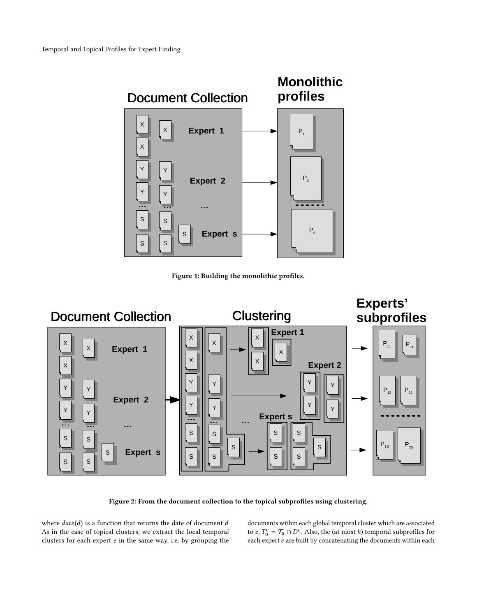<span id="page-2-0"></span>

Figure 1: Building the monolithic profiles.

<span id="page-2-1"></span>

Figure 2: From the document collection to the topical subprofiles using clustering.

where  $date(d)$  is a function that returns the date of document d. As in the case of topical clusters, we extract the local temporal clusters for each expert e in the same way, i.e. by grouping the

documents within each global temporal cluster which are associated to e,  $T_u^e = T_u \cap D^e$ . Also, the (at most h) temporal subprofiles for each expert e are built by concatenating the documents within each each expert e are built by concatenating the documents within each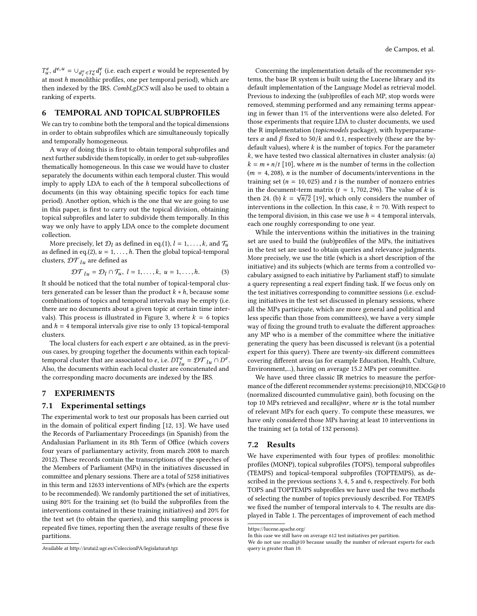$\frac{u_1}{du_1}$  at most h monolithic profiles, one per temporal period), which are<br>at most h monolithic profiles, one per temporal period), which are<br>then indexed by the IBS. Combi gDCS will also be used to obtain a <sup>e</sup>,  $d^{e}$ ,  $u = \bigcup_{d_{\xi}^{e} \in T_{\xi}^{e}} d_{\xi}^{e}$  (i.e. each expert *e* would be represented by  $t$  most *h* monolities profiles are not temporal pariod), which are then indexed by the IRS. CombLgDCS will also be used to obtain a ranking of experts.

#### <span id="page-3-4"></span>6 TEMPORAL AND TOPICAL SUBPROFILES

We can try to combine both the temporal and the topical dimensions in order to obtain subprofiles which are simultaneously topically and temporally homogeneous.

A way of doing this is first to obtain temporal subprofiles and next further subdivide them topically, in order to get sub-subprofiles thematically homogeneous. In this case we would have to cluster separately the documents within each temporal cluster. This would imply to apply LDA to each of the h temporal subcollections of documents (in this way obtaining specific topics for each time period). Another option, which is the one that we are going to use in this paper, is first to carry out the topical division, obtaining topical subprofiles and later to subdivide them temporally. In this way we only have to apply LDA once to the complete document collection.

More precisely, let  $\mathcal{D}_l$  as defined in eq.[\(1\)](#page-1-2),  $l = 1, \ldots, k$ , and  $\mathcal{T}_u$ as defined in eq.[\(2\)](#page-1-3),  $u = 1, \ldots, h$ . Then the global topical-temporal clusters,  $\mathcal{DT}_{lu}$  are defined as

$$
\mathcal{DT}_{lu} = \mathcal{D}_l \cap \mathcal{T}_u, \ l = 1, \ldots, k, \ u = 1, \ldots, h. \tag{3}
$$

It should be noticed that the total number of topical-temporal clusters generated can be lesser than the product  $k * h$ , because some combinations of topics and temporal intervals may be empty (i.e. there are no documents about a given topic at certain time inter-vals). This process is illustrated in Figure [3,](#page-4-0) where  $k = 6$  topics and  $h = 4$  temporal intervals give rise to only 13 topical-temporal clusters.

The local clusters for each expert  $e$  are obtained, as in the previous cases, by grouping together the documents within each topicaltemporal cluster that are associated to e, i.e.  $DT_{\text{L}}^e = \mathcal{DT}_{\text{L}} \cap D^e$ .<br>Also, the documents within each local cluster are consectenated and Also, the documents within each local cluster are concatenated and the corresponding macro documents are indexed by the IRS.

## 7 EXPERIMENTS

#### 7.1 Experimental settings

The experimental work to test our proposals has been carried out in the domain of political expert finding [\[12,](#page-5-15) [13\]](#page-5-14). We have used the Records of Parliamentary Proceedings (in Spanish) from the Andalusian Parliament in its 8th Term of Offic[e](#page-3-0) (which covers four years of parliamentary activity, from march 2008 to march 2012). These records contain the transcriptions of the speeches of the Members of Parliament (MPs) in the initiatives discussed in committee and plenary sessions. There are a total of 5258 initiatives in this term and 12633 interventions of MPs (which are the experts to be recommended). We randomly partitioned the set of initiatives, using 80% for the training set (to build the subprofiles from the interventions contained in these training initiatives) and 20% for the test set (to obtain the queries), and this sampling process is repeated five times, reporting then the average results of these five partitions.

Concerning the implementation details of the recommender systems, the base IR system is built using the Lucene librar[y](#page-3-1) and its default implementation of the Language Model as retrieval model. Previous to indexing the (sub)profiles of each MP, stop words were removed, stemming performed and any remaining terms appearing in fewer than 1% of the interventions were also deleted. For those experiments that require LDA to cluster documents, we used the R implementation (topicmodels package), with hyperparameters  $\alpha$  and  $\beta$  fixed to 50/k and 0.1, respectively (these are the bydefault values), where  $k$  is the number of topics. For the parameter  $k$ , we have tested two classical alternatives in cluster analysis: (a)  $k = m * n/t$  [\[10\]](#page-5-16), where *m* is the number of terms in the collection  $(m = 4, 208)$ , *n* is the number of documents/interventions in the training set ( $n = 10,025$ ) and  $t$  is the number of nonzero entries in the document-term matrix  $(t = 1, 702, 296)$ . The value of k is<br>then 24 (b)  $k = \sqrt{n^{22}}$  [19], which only considers the number of then 24. (b)  $k = \sqrt{n/2}$  [\[19\]](#page-5-17), which only considers the number of interventions in the collection. In this case  $k = 70$  With respect to interventions in the collection. In this case,  $k = 70$ . With respect to the temporal division, in this case we use  $h = 4$  temporal intervals, each one roughly corresponding to one year.

While the interventions within the initiatives in the training set are used to build the (sub)profiles of the MPs, the initiatives in the test set are used to obtain queries and relevance judgments. More precisely, we use the title (which is a short description of the initiative) and its subjects (which are terms from a controlled vocabulary assigned to each initiative by Parliament staff) to simulate a query representing a real expert finding task. If we focus only on the test initiatives corresponding to committee session[s](#page-3-2) (i.e. excluding initiatives in the test set discussed in plenary sessions, where all the MPs participate, which are more general and political and less specific than those from committees), we have a very simple way of fixing the ground truth to evaluate the different approaches: any MP who is a member of the committee where the initiative generating the query has been discussed is relevant (is a potential expert for this query). There are twenty-six different committees covering different areas (as for example Education, Health, Culture, Environment,...), having on average 15.2 MPs per committee.

We have used three classic IR metrics to measure the performance of the different recommender systems: precision@10, NDCG@10 (normalized discounted cummulative gain), both focusing on the top 10 MPs retrieved and recall@nr, where nr is the total number of relevant MPs for each quer[y.](#page-3-3) To compute these measures, we have only considered those MPs having at least 10 interventions in the training set (a total of 132 persons).

#### 7.2 Results

We have experimented with four types of profiles: monolithic profiles (MONP), topical subprofiles (TOPS), temporal subprofiles (TEMPS) and topical-temporal subprofiles (TOPTEMPS), as described in the previous sections [3,](#page-1-4) [4,](#page-1-5) [5](#page-1-6) and [6,](#page-3-4) respectively. For both TOPS and TOPTEMPS subprofiles we have used the two methods of selecting the number of topics previously described. For TEMPS we fixed the number of temporal intervals to 4. The results are displayed in Table [1.](#page-4-1) The percentages of improvement of each method

<span id="page-3-0"></span>Available at http://irutai2.ugr.es/ColeccionPA/legislatura8.tgz

<span id="page-3-1"></span>https://lucene.apache.org/

<span id="page-3-2"></span>In this case we still have on average 612 test initiatives per partition.

<span id="page-3-3"></span>We do not use recall@10 because usually the number of relevant experts for each query is greater than 10.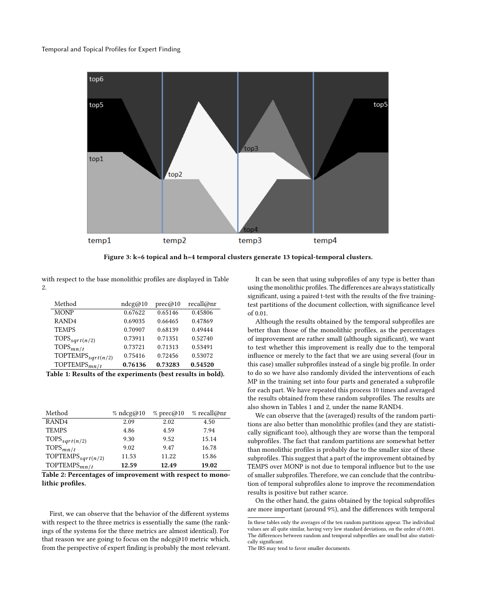<span id="page-4-0"></span>

Figure 3: k=6 topical and h=4 temporal clusters generate 13 topical-temporal clusters.

with respect to the base monolithic profiles are displayed in Table [2.](#page-4-2)

<span id="page-4-1"></span>

| Method                                                      | ndcg@10 | prec@10 | recall@nr |  |
|-------------------------------------------------------------|---------|---------|-----------|--|
| <b>MONP</b>                                                 | 0.67622 | 0.65146 | 0.45806   |  |
| RAND <sub>4</sub>                                           | 0.69035 | 0.66465 | 0.47869   |  |
| <b>TEMPS</b>                                                | 0.70907 | 0.68139 | 0.49444   |  |
| TOPS <sub>sqrt(n/2)</sub>                                   | 0.73911 | 0.71351 | 0.52740   |  |
| $TOPS_{mn/t}$                                               | 0.73721 | 0.71313 | 0.53491   |  |
| TOPTEMPS <sub>sqrt(n/2)</sub>                               | 0.75416 | 0.72456 | 0.53072   |  |
| TOPTEMPS $_{mn/t}$                                          | 0.76136 | 0.73283 | 0.54520   |  |
| Table 1: Results of the experiments (best results in bold). |         |         |           |  |

<span id="page-4-2"></span>

| Method                                                    | $%$ ndcg@10 | $%$ prec@10 | % recall@nr |  |
|-----------------------------------------------------------|-------------|-------------|-------------|--|
| RAND <sub>4</sub>                                         | 2.09        | 2.02        | 4.50        |  |
| <b>TEMPS</b>                                              | 4.86        | 4.59        | 7.94        |  |
| TOPS <sub>sqrt(n/2)</sub>                                 | 9.30        | 9.52        | 15.14       |  |
| TOPS $_{mn/t}$                                            | 9.02        | 9.47        | 16.78       |  |
| TOPTEMPS <sub>sqrt(n/2)</sub>                             | 11.53       | 11.22       | 15.86       |  |
| TOPTEMPS $_{mn/t}$                                        | 12.59       | 12.49       | 19.02       |  |
| Table 2: Percentages of improvement with respect to mono- |             |             |             |  |

lithic profiles.

First, we can observe that the behavior of the different systems with respect to the three metrics is essentially the same (the rankings of the systems for the three metrics are almost identical). For that reason we are going to focus on the ndcg@10 metric which, from the perspective of expert finding is probably the most relevant.

It can be seen that using subprofiles of any type is better than using the monolithic profiles. The differences are always statistically significant, using a paired t-test with the results of the five trainingtest partitions of the document collection, with significance level of 0.01.

Although the results obtained by the temporal subprofiles are better than those of the monolithic profiles, as the percentages of improvement are rather small (although significant), we want to test whether this improvement is really due to the temporal influence or merely to the fact that we are using several (four in this case) smaller subprofiles instead of a single big profile. In order to do so we have also randomly divided the interventions of each MP in the training set into four parts and generated a subprofile for each part. We have repeated this process 10 times and averaged the results obtained from these random subprofiles. The results are also shown in Tables [1](#page-4-1) and [2,](#page-4-2) under the name RAND[4.](#page-4-3)

We can observe that the (averaged) results of the random partitions are also better than monolithic profiles (and they are statistically significant too), although they are worse than the temporal subprofile[s.](#page-4-4) The fact that random partitions are somewhat better than monolithic profiles is probably due to the smaller size of these subprofile[s.](#page-4-5) This suggest that a part of the improvement obtained by TEMPS over MONP is not due to temporal influence but to the use of smaller subprofiles. Therefore, we can conclude that the contribution of temporal subprofiles alone to improve the recommendation results is positive but rather scarce.

On the other hand, the gains obtained by the topical subprofiles are more important (around 9%), and the differences with temporal

<span id="page-4-4"></span><span id="page-4-3"></span>In these tables only the averages of the ten random partitions appear. The individual values are all quite similar, having very low standard deviations, on the order of 0.001. The differences between random and temporal subprofiles are small but also statistically significant.

<span id="page-4-5"></span>The IRS may tend to favor smaller documents.